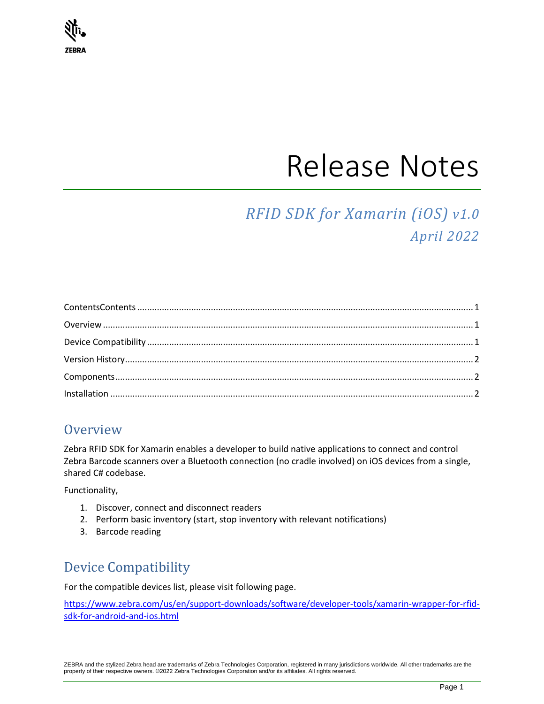

# Release Notes

## *RFID SDK for Xamarin (iOS) v1.0 April 2022*

<span id="page-0-0"></span>

## <span id="page-0-1"></span>**Overview**

Zebra RFID SDK for Xamarin enables a developer to build native applications to connect and control Zebra Barcode scanners over a Bluetooth connection (no cradle involved) on iOS devices from a single, shared C# codebase.

Functionality,

- 1. Discover, connect and disconnect readers
- 2. Perform basic inventory (start, stop inventory with relevant notifications)
- 3. Barcode reading

## <span id="page-0-2"></span>Device Compatibility

For the compatible devices list, please visit following page.

[https://www.zebra.com/us/en/support-downloads/software/developer-tools/xamarin-wrapper-for-rfid](https://www.zebra.com/us/en/support-downloads/software/developer-tools/xamarin-wrapper-for-rfid-sdk-for-android-and-ios.html)[sdk-for-android-and-ios.html](https://www.zebra.com/us/en/support-downloads/software/developer-tools/xamarin-wrapper-for-rfid-sdk-for-android-and-ios.html)

ZEBRA and the stylized Zebra head are trademarks of Zebra Technologies Corporation, registered in many jurisdictions worldwide. All other trademarks are the property of their respective owners. ©2022 Zebra Technologies Corporation and/or its affiliates. All rights reserved.